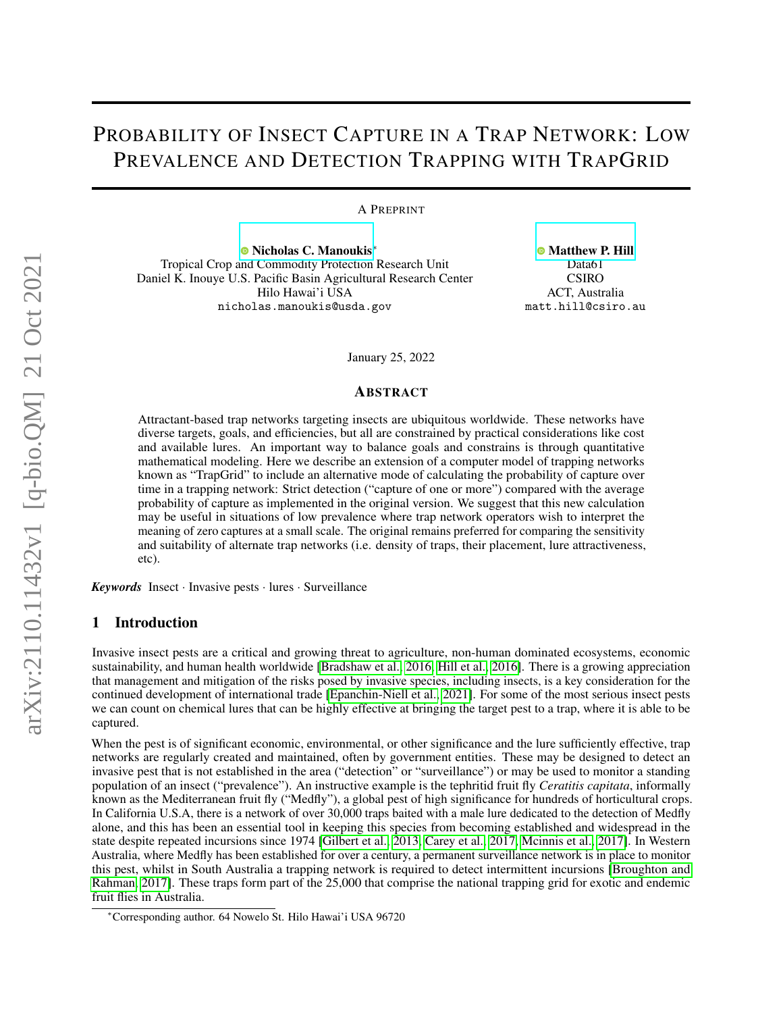# PROBABILITY OF INSECT CAPTURE IN A TRAP NETWORK: LOW PREVALENCE AND DETECTION TRAPPING WITH TRAPGRID

A PREPRINT

[Nicholas C. Manoukis](https://orcid.org/0000-0001-5062-7256)<sup>∗</sup> Tropical Crop and Commodity Protection Research Unit Daniel K. Inouye U.S. Pacific Basin Agricultural Research Center Hilo Hawai'i USA nicholas.manoukis@usda.gov

**[Matthew P. Hill](https://orcid.org/0000-0002-7762-5258)** Data61 CSIRO ACT, Australia matt.hill@csiro.au

January 25, 2022

#### ABSTRACT

Attractant-based trap networks targeting insects are ubiquitous worldwide. These networks have diverse targets, goals, and efficiencies, but all are constrained by practical considerations like cost and available lures. An important way to balance goals and constrains is through quantitative mathematical modeling. Here we describe an extension of a computer model of trapping networks known as "TrapGrid" to include an alternative mode of calculating the probability of capture over time in a trapping network: Strict detection ("capture of one or more") compared with the average probability of capture as implemented in the original version. We suggest that this new calculation may be useful in situations of low prevalence where trap network operators wish to interpret the meaning of zero captures at a small scale. The original remains preferred for comparing the sensitivity and suitability of alternate trap networks (i.e. density of traps, their placement, lure attractiveness, etc).

*Keywords* Insect · Invasive pests · lures · Surveillance

## 1 Introduction

Invasive insect pests are a critical and growing threat to agriculture, non-human dominated ecosystems, economic sustainability, and human health worldwide [\[Bradshaw et al., 2016,](#page-5-0) [Hill et al., 2016\]](#page-5-1). There is a growing appreciation that management and mitigation of the risks posed by invasive species, including insects, is a key consideration for the continued development of international trade [\[Epanchin-Niell et al., 2021\]](#page-5-2). For some of the most serious insect pests we can count on chemical lures that can be highly effective at bringing the target pest to a trap, where it is able to be captured.

When the pest is of significant economic, environmental, or other significance and the lure sufficiently effective, trap networks are regularly created and maintained, often by government entities. These may be designed to detect an invasive pest that is not established in the area ("detection" or "surveillance") or may be used to monitor a standing population of an insect ("prevalence"). An instructive example is the tephritid fruit fly *Ceratitis capitata*, informally known as the Mediterranean fruit fly ("Medfly"), a global pest of high significance for hundreds of horticultural crops. In California U.S.A, there is a network of over 30,000 traps baited with a male lure dedicated to the detection of Medfly alone, and this has been an essential tool in keeping this species from becoming established and widespread in the state despite repeated incursions since 1974 [\[Gilbert et al., 2013,](#page-6-0) [Carey et al., 2017,](#page-6-1) [Mcinnis et al., 2017\]](#page-6-2). In Western Australia, where Medfly has been established for over a century, a permanent surveillance network is in place to monitor this pest, whilst in South Australia a trapping network is required to detect intermittent incursions [\[Broughton and](#page-6-3) [Rahman, 2017\]](#page-6-3). These traps form part of the 25,000 that comprise the national trapping grid for exotic and endemic fruit flies in Australia.

<sup>∗</sup>Corresponding author. 64 Nowelo St. Hilo Hawai'i USA 96720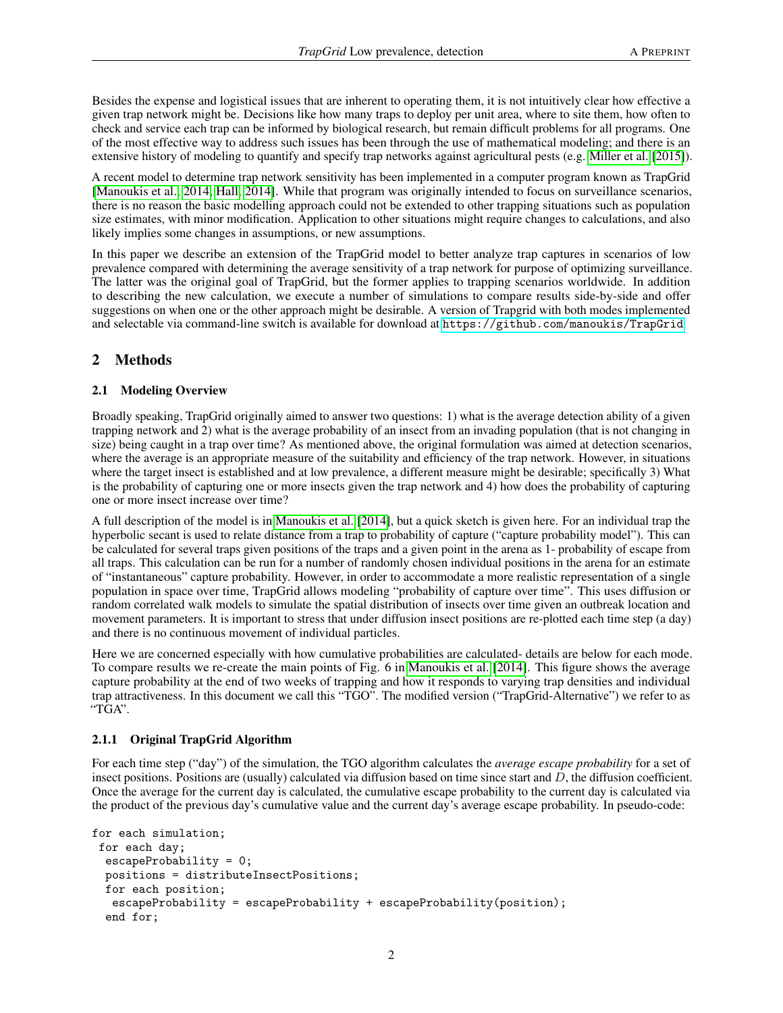Besides the expense and logistical issues that are inherent to operating them, it is not intuitively clear how effective a given trap network might be. Decisions like how many traps to deploy per unit area, where to site them, how often to check and service each trap can be informed by biological research, but remain difficult problems for all programs. One of the most effective way to address such issues has been through the use of mathematical modeling; and there is an extensive history of modeling to quantify and specify trap networks against agricultural pests (e.g. [Miller et al.](#page-6-4) [\[2015\]](#page-6-4)).

A recent model to determine trap network sensitivity has been implemented in a computer program known as TrapGrid [\[Manoukis et al., 2014,](#page-6-5) [Hall, 2014\]](#page-6-6). While that program was originally intended to focus on surveillance scenarios, there is no reason the basic modelling approach could not be extended to other trapping situations such as population size estimates, with minor modification. Application to other situations might require changes to calculations, and also likely implies some changes in assumptions, or new assumptions.

In this paper we describe an extension of the TrapGrid model to better analyze trap captures in scenarios of low prevalence compared with determining the average sensitivity of a trap network for purpose of optimizing surveillance. The latter was the original goal of TrapGrid, but the former applies to trapping scenarios worldwide. In addition to describing the new calculation, we execute a number of simulations to compare results side-by-side and offer suggestions on when one or the other approach might be desirable. A version of Trapgrid with both modes implemented and selectable via command-line switch is available for download at <https://github.com/manoukis/TrapGrid>

# 2 Methods

## 2.1 Modeling Overview

Broadly speaking, TrapGrid originally aimed to answer two questions: 1) what is the average detection ability of a given trapping network and 2) what is the average probability of an insect from an invading population (that is not changing in size) being caught in a trap over time? As mentioned above, the original formulation was aimed at detection scenarios, where the average is an appropriate measure of the suitability and efficiency of the trap network. However, in situations where the target insect is established and at low prevalence, a different measure might be desirable; specifically 3) What is the probability of capturing one or more insects given the trap network and 4) how does the probability of capturing one or more insect increase over time?

A full description of the model is in [Manoukis et al.](#page-6-5) [\[2014\]](#page-6-5), but a quick sketch is given here. For an individual trap the hyperbolic secant is used to relate distance from a trap to probability of capture ("capture probability model"). This can be calculated for several traps given positions of the traps and a given point in the arena as 1- probability of escape from all traps. This calculation can be run for a number of randomly chosen individual positions in the arena for an estimate of "instantaneous" capture probability. However, in order to accommodate a more realistic representation of a single population in space over time, TrapGrid allows modeling "probability of capture over time". This uses diffusion or random correlated walk models to simulate the spatial distribution of insects over time given an outbreak location and movement parameters. It is important to stress that under diffusion insect positions are re-plotted each time step (a day) and there is no continuous movement of individual particles.

Here we are concerned especially with how cumulative probabilities are calculated- details are below for each mode. To compare results we re-create the main points of Fig. 6 in [Manoukis et al.](#page-6-5) [\[2014\]](#page-6-5). This figure shows the average capture probability at the end of two weeks of trapping and how it responds to varying trap densities and individual trap attractiveness. In this document we call this "TGO". The modified version ("TrapGrid-Alternative") we refer to as "TGA".

## 2.1.1 Original TrapGrid Algorithm

For each time step ("day") of the simulation, the TGO algorithm calculates the *average escape probability* for a set of insect positions. Positions are (usually) calculated via diffusion based on time since start and D, the diffusion coefficient. Once the average for the current day is calculated, the cumulative escape probability to the current day is calculated via the product of the previous day's cumulative value and the current day's average escape probability. In pseudo-code:

```
for each simulation;
for each day;
  escapeProbability = 0;
  positions = distributeInsectPositions;
  for each position;
   escapeProbability = escapeProbability + escapeProbability(position);
  end for;
```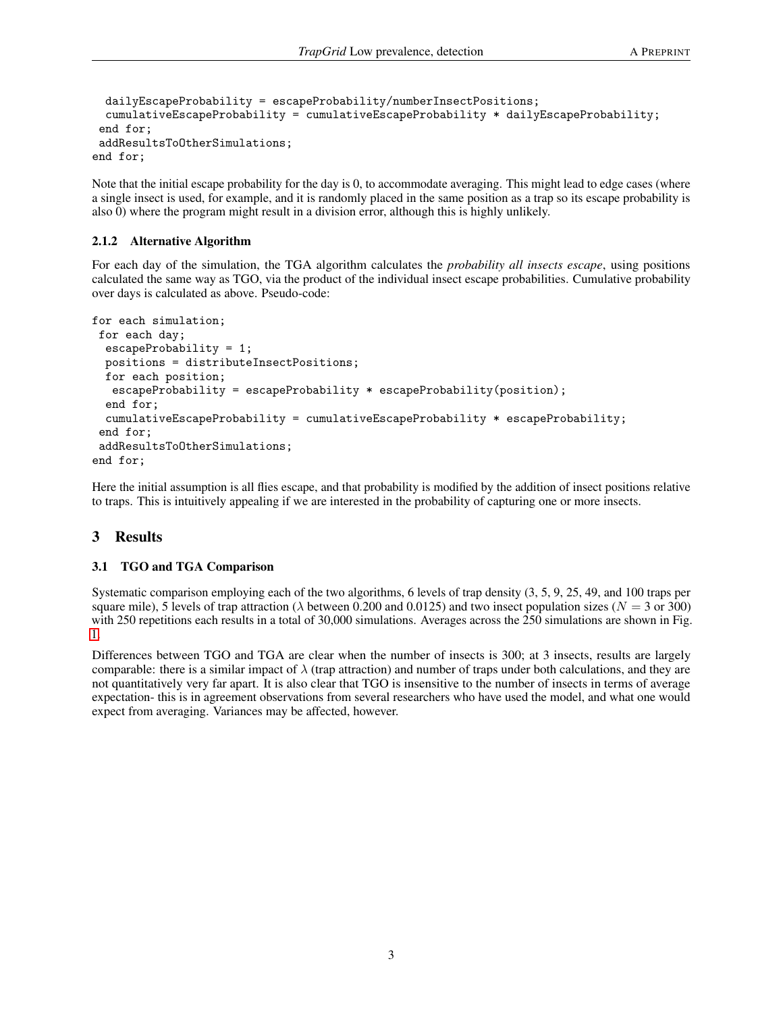```
dailyEscapeProbability = escapeProbability/numberInsectPositions;
  cumulativeEscapeProbability = cumulativeEscapeProbability * dailyEscapeProbability;
 end for;
 addResultsToOtherSimulations;
end for;
```
Note that the initial escape probability for the day is 0, to accommodate averaging. This might lead to edge cases (where a single insect is used, for example, and it is randomly placed in the same position as a trap so its escape probability is also 0) where the program might result in a division error, although this is highly unlikely.

## 2.1.2 Alternative Algorithm

For each day of the simulation, the TGA algorithm calculates the *probability all insects escape*, using positions calculated the same way as TGO, via the product of the individual insect escape probabilities. Cumulative probability over days is calculated as above. Pseudo-code:

```
for each simulation;
for each day;
  escapeProbability = 1;
  positions = distributeInsectPositions;
  for each position;
   escapeProbability = escapeProbability * escapeProbability(position);
  end for;
  cumulativeEscapeProbability = cumulativeEscapeProbability * escapeProbability;
 end for;
 addResultsToOtherSimulations;
end for;
```
Here the initial assumption is all flies escape, and that probability is modified by the addition of insect positions relative to traps. This is intuitively appealing if we are interested in the probability of capturing one or more insects.

## 3 Results

#### 3.1 TGO and TGA Comparison

Systematic comparison employing each of the two algorithms, 6 levels of trap density (3, 5, 9, 25, 49, and 100 traps per square mile), 5 levels of trap attraction ( $\lambda$  between 0.200 and 0.0125) and two insect population sizes ( $N = 3$  or 300) with 250 repetitions each results in a total of 30,000 simulations. Averages across the 250 simulations are shown in Fig. [1.](#page-3-0)

Differences between TGO and TGA are clear when the number of insects is 300; at 3 insects, results are largely comparable: there is a similar impact of  $\lambda$  (trap attraction) and number of traps under both calculations, and they are not quantitatively very far apart. It is also clear that TGO is insensitive to the number of insects in terms of average expectation- this is in agreement observations from several researchers who have used the model, and what one would expect from averaging. Variances may be affected, however.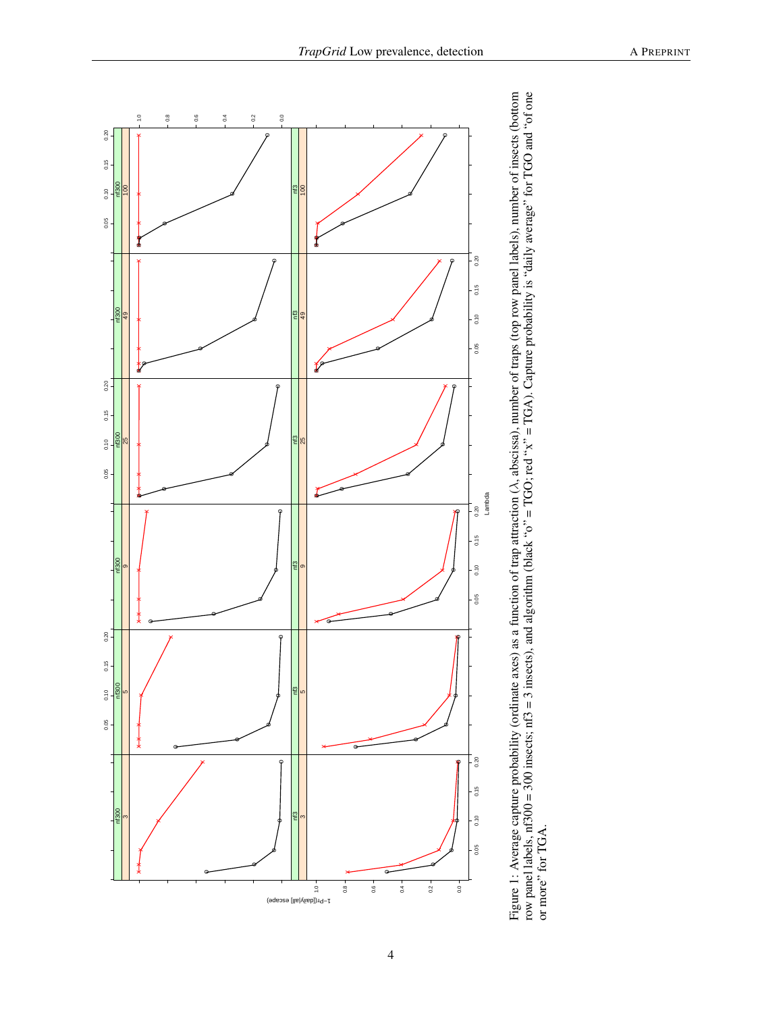

<span id="page-3-0"></span>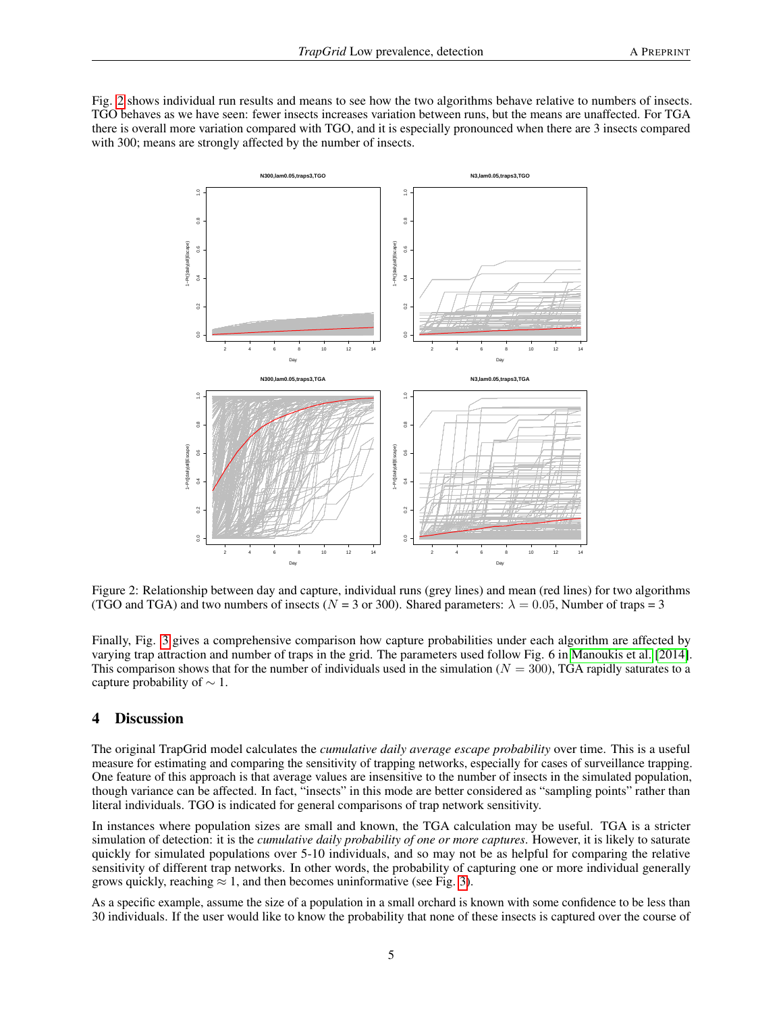Fig. [2](#page-4-0) shows individual run results and means to see how the two algorithms behave relative to numbers of insects. TGO behaves as we have seen: fewer insects increases variation between runs, but the means are unaffected. For TGA there is overall more variation compared with TGO, and it is especially pronounced when there are 3 insects compared with 300; means are strongly affected by the number of insects.



<span id="page-4-0"></span>Figure 2: Relationship between day and capture, individual runs (grey lines) and mean (red lines) for two algorithms (TGO and TGA) and two numbers of insects ( $N = 3$  or 300). Shared parameters:  $\lambda = 0.05$ , Number of traps = 3

Finally, Fig. [3](#page-5-3) gives a comprehensive comparison how capture probabilities under each algorithm are affected by varying trap attraction and number of traps in the grid. The parameters used follow Fig. 6 in [Manoukis et al.](#page-6-5) [\[2014\]](#page-6-5). This comparison shows that for the number of individuals used in the simulation ( $N = 300$ ), TGA rapidly saturates to a capture probability of  $\sim$  1.

## 4 Discussion

The original TrapGrid model calculates the *cumulative daily average escape probability* over time. This is a useful measure for estimating and comparing the sensitivity of trapping networks, especially for cases of surveillance trapping. One feature of this approach is that average values are insensitive to the number of insects in the simulated population, though variance can be affected. In fact, "insects" in this mode are better considered as "sampling points" rather than literal individuals. TGO is indicated for general comparisons of trap network sensitivity.

In instances where population sizes are small and known, the TGA calculation may be useful. TGA is a stricter simulation of detection: it is the *cumulative daily probability of one or more captures*. However, it is likely to saturate quickly for simulated populations over 5-10 individuals, and so may not be as helpful for comparing the relative sensitivity of different trap networks. In other words, the probability of capturing one or more individual generally grows quickly, reaching  $\approx 1$ , and then becomes uninformative (see Fig. [3\)](#page-5-3).

As a specific example, assume the size of a population in a small orchard is known with some confidence to be less than 30 individuals. If the user would like to know the probability that none of these insects is captured over the course of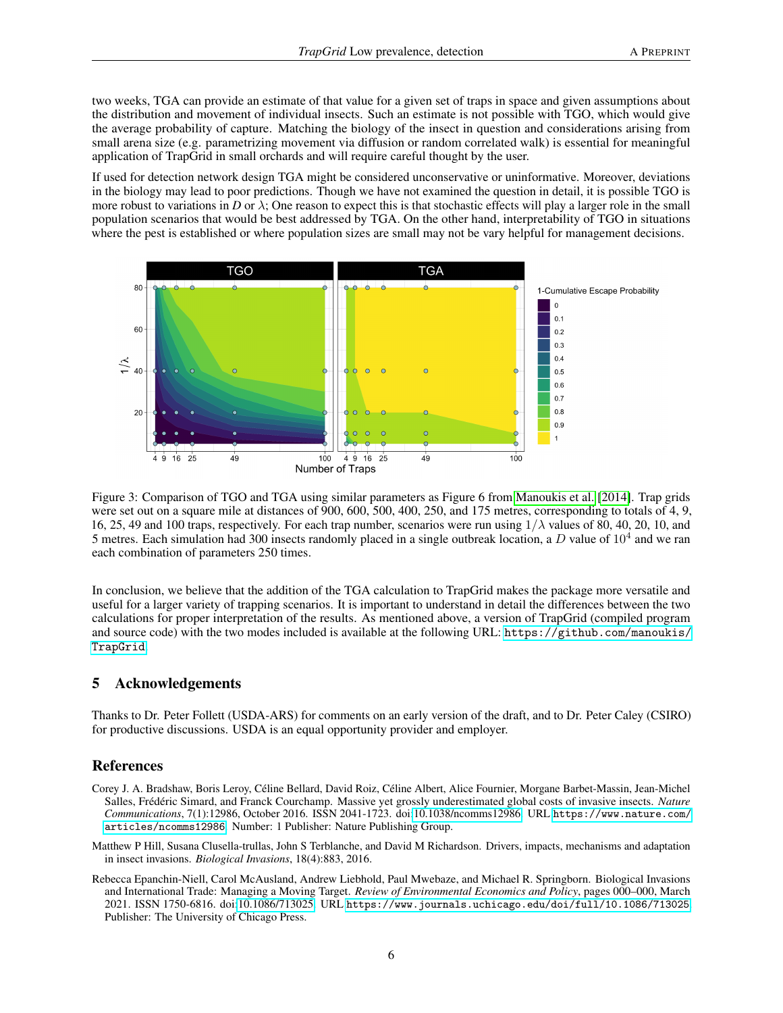two weeks, TGA can provide an estimate of that value for a given set of traps in space and given assumptions about the distribution and movement of individual insects. Such an estimate is not possible with TGO, which would give the average probability of capture. Matching the biology of the insect in question and considerations arising from small arena size (e.g. parametrizing movement via diffusion or random correlated walk) is essential for meaningful application of TrapGrid in small orchards and will require careful thought by the user.

If used for detection network design TGA might be considered unconservative or uninformative. Moreover, deviations in the biology may lead to poor predictions. Though we have not examined the question in detail, it is possible TGO is more robust to variations in *D* or  $\lambda$ ; One reason to expect this is that stochastic effects will play a larger role in the small population scenarios that would be best addressed by TGA. On the other hand, interpretability of TGO in situations where the pest is established or where population sizes are small may not be vary helpful for management decisions.



<span id="page-5-3"></span>Figure 3: Comparison of TGO and TGA using similar parameters as Figure 6 from [Manoukis et al.](#page-6-5) [\[2014\]](#page-6-5). Trap grids were set out on a square mile at distances of 900, 600, 500, 400, 250, and 175 metres, corresponding to totals of 4, 9, 16, 25, 49 and 100 traps, respectively. For each trap number, scenarios were run using  $1/\lambda$  values of 80, 40, 20, 10, and 5 metres. Each simulation had 300 insects randomly placed in a single outbreak location, a D value of  $10^4$  and we ran each combination of parameters 250 times.

In conclusion, we believe that the addition of the TGA calculation to TrapGrid makes the package more versatile and useful for a larger variety of trapping scenarios. It is important to understand in detail the differences between the two calculations for proper interpretation of the results. As mentioned above, a version of TrapGrid (compiled program and source code) with the two modes included is available at the following URL: [https://github.com/manoukis/](https://github.com/manoukis/TrapGrid) [TrapGrid](https://github.com/manoukis/TrapGrid).

## 5 Acknowledgements

Thanks to Dr. Peter Follett (USDA-ARS) for comments on an early version of the draft, and to Dr. Peter Caley (CSIRO) for productive discussions. USDA is an equal opportunity provider and employer.

## **References**

- <span id="page-5-0"></span>Corey J. A. Bradshaw, Boris Leroy, Céline Bellard, David Roiz, Céline Albert, Alice Fournier, Morgane Barbet-Massin, Jean-Michel Salles, Frédéric Simard, and Franck Courchamp. Massive yet grossly underestimated global costs of invasive insects. *Nature Communications*, 7(1):12986, October 2016. ISSN 2041-1723. doi[:10.1038/ncomms12986.](https://doi.org/10.1038/ncomms12986) URL [https://www.nature.com/](https://www.nature.com/articles/ncomms12986) [articles/ncomms12986](https://www.nature.com/articles/ncomms12986). Number: 1 Publisher: Nature Publishing Group.
- <span id="page-5-1"></span>Matthew P Hill, Susana Clusella-trullas, John S Terblanche, and David M Richardson. Drivers, impacts, mechanisms and adaptation in insect invasions. *Biological Invasions*, 18(4):883, 2016.
- <span id="page-5-2"></span>Rebecca Epanchin-Niell, Carol McAusland, Andrew Liebhold, Paul Mwebaze, and Michael R. Springborn. Biological Invasions and International Trade: Managing a Moving Target. *Review of Environmental Economics and Policy*, pages 000–000, March 2021. ISSN 1750-6816. doi[:10.1086/713025.](https://doi.org/10.1086/713025) URL <https://www.journals.uchicago.edu/doi/full/10.1086/713025>. Publisher: The University of Chicago Press.